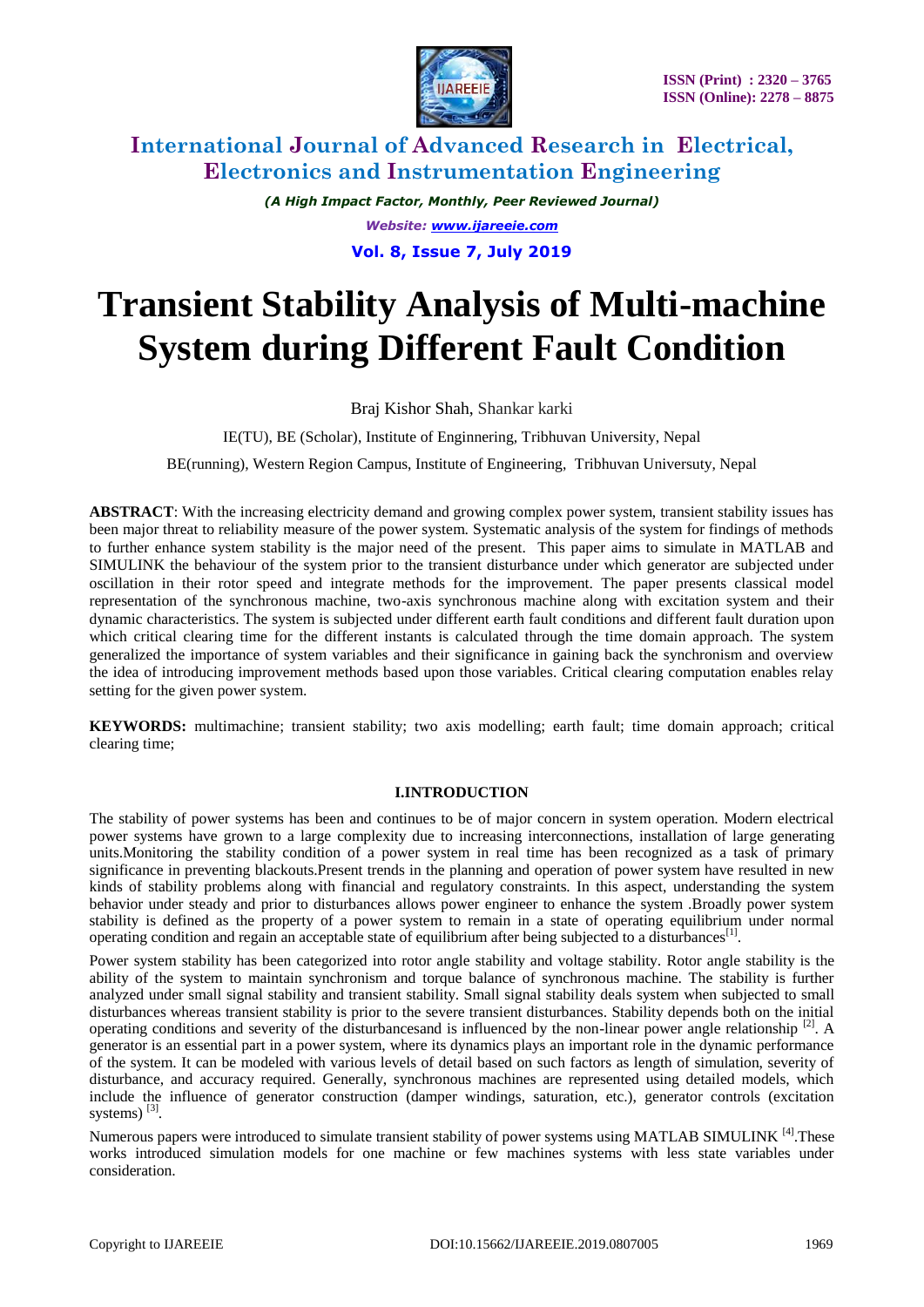

*(A High Impact Factor, Monthly, Peer Reviewed Journal) Website: [www.ijareeie.com](http://www.ijareeie.com/)* **Vol. 8, Issue 7, July 2019**

# **Transient Stability Analysis of Multi-machine System during Different Fault Condition**

Braj Kishor Shah, Shankar karki

IE(TU), BE (Scholar), Institute of Enginnering*,* Tribhuvan University, Nepal

BE(running), Western Region Campus, Institute of Engineering, Tribhuvan Universuty, Nepal

**ABSTRACT**: With the increasing electricity demand and growing complex power system, transient stability issues has been major threat to reliability measure of the power system. Systematic analysis of the system for findings of methods to further enhance system stability is the major need of the present. This paper aims to simulate in MATLAB and SIMULINK the behaviour of the system prior to the transient disturbance under which generator are subjected under oscillation in their rotor speed and integrate methods for the improvement. The paper presents classical model representation of the synchronous machine, two-axis synchronous machine along with excitation system and their dynamic characteristics. The system is subjected under different earth fault conditions and different fault duration upon which critical clearing time for the different instants is calculated through the time domain approach. The system generalized the importance of system variables and their significance in gaining back the synchronism and overview the idea of introducing improvement methods based upon those variables. Critical clearing computation enables relay setting for the given power system.

**KEYWORDS:** multimachine; transient stability; two axis modelling; earth fault; time domain approach; critical clearing time;

#### **I.INTRODUCTION**

The stability of power systems has been and continues to be of major concern in system operation. Modern electrical power systems have grown to a large complexity due to increasing interconnections, installation of large generating units.Monitoring the stability condition of a power system in real time has been recognized as a task of primary significance in preventing blackouts.Present trends in the planning and operation of power system have resulted in new kinds of stability problems along with financial and regulatory constraints. In this aspect, understanding the system behavior under steady and prior to disturbances allows power engineer to enhance the system .Broadly power system stability is defined as the property of a power system to remain in a state of operating equilibrium under normal operating condition and regain an acceptable state of equilibrium after being subjected to a disturbances<sup>[1]</sup>.

Power system stability has been categorized into rotor angle stability and voltage stability. Rotor angle stability is the ability of the system to maintain synchronism and torque balance of synchronous machine. The stability is further analyzed under small signal stability and transient stability. Small signal stability deals system when subjected to small disturbances whereas transient stability is prior to the severe transient disturbances. Stability depends both on the initial operating conditions and severity of the disturbances and is influenced by the non-linear power angle relationship  $^{[2]}$ . A generator is an essential part in a power system, where its dynamics plays an important role in the dynamic performance of the system. It can be modeled with various levels of detail based on such factors as length of simulation, severity of disturbance, and accuracy required. Generally, synchronous machines are represented using detailed models, which include the influence of generator construction (damper windings, saturation, etc.), generator controls (excitation systems)<sup>[3]</sup>.

Numerous papers were introduced to simulate transient stability of power systems using MATLAB SIMULINK  $^{[4]}$ . These works introduced simulation models for one machine or few machines systems with less state variables under consideration.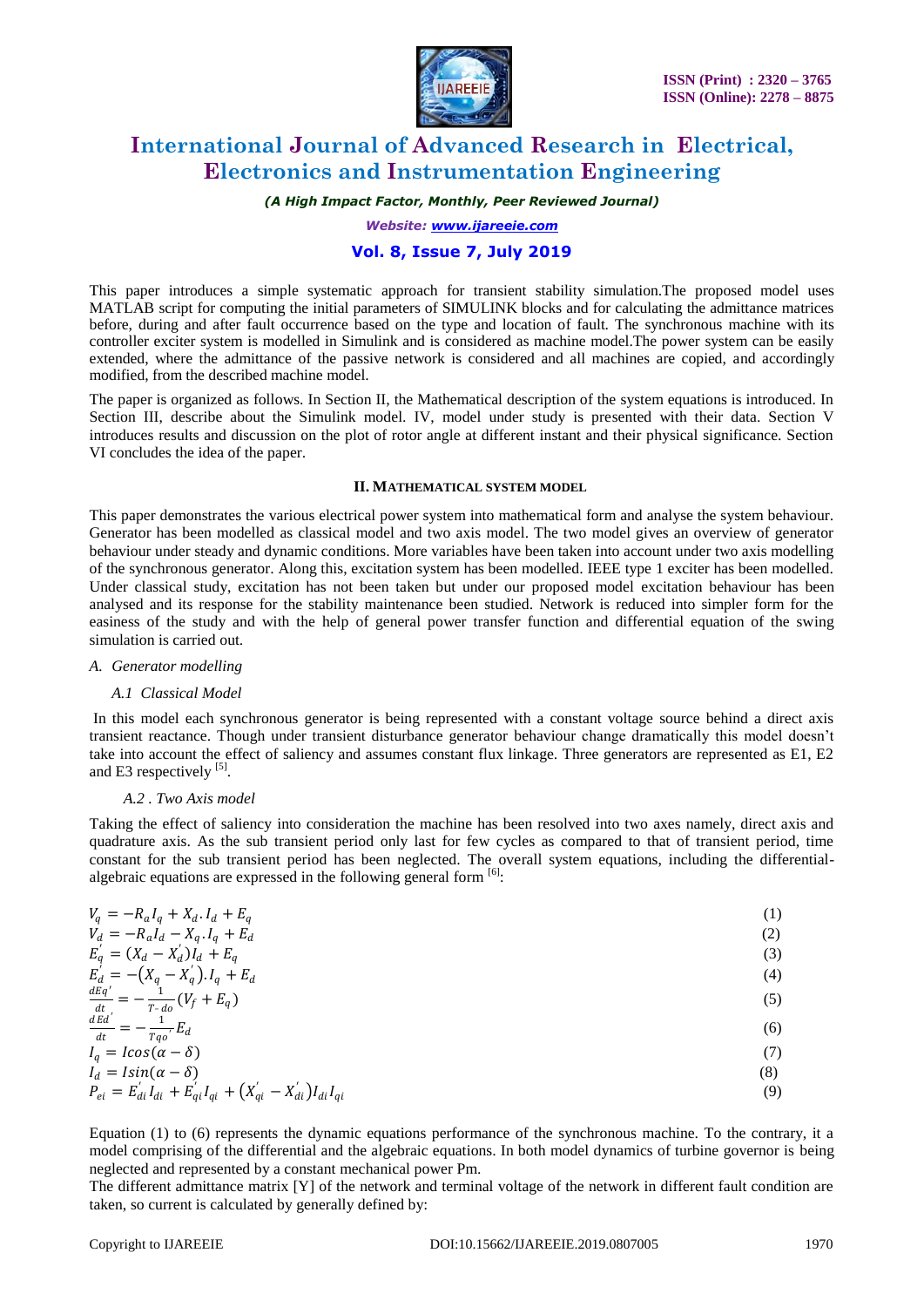

*(A High Impact Factor, Monthly, Peer Reviewed Journal)*

*Website: [www.ijareeie.com](http://www.ijareeie.com/)*

### **Vol. 8, Issue 7, July 2019**

This paper introduces a simple systematic approach for transient stability simulation.The proposed model uses MATLAB script for computing the initial parameters of SIMULINK blocks and for calculating the admittance matrices before, during and after fault occurrence based on the type and location of fault. The synchronous machine with its controller exciter system is modelled in Simulink and is considered as machine model.The power system can be easily extended, where the admittance of the passive network is considered and all machines are copied, and accordingly modified, from the described machine model.

The paper is organized as follows. In Section II, the Mathematical description of the system equations is introduced. In Section III, describe about the Simulink model. IV, model under study is presented with their data. Section V introduces results and discussion on the plot of rotor angle at different instant and their physical significance. Section VI concludes the idea of the paper.

#### **II. MATHEMATICAL SYSTEM MODEL**

This paper demonstrates the various electrical power system into mathematical form and analyse the system behaviour. Generator has been modelled as classical model and two axis model. The two model gives an overview of generator behaviour under steady and dynamic conditions. More variables have been taken into account under two axis modelling of the synchronous generator. Along this, excitation system has been modelled. IEEE type 1 exciter has been modelled. Under classical study, excitation has not been taken but under our proposed model excitation behaviour has been analysed and its response for the stability maintenance been studied. Network is reduced into simpler form for the easiness of the study and with the help of general power transfer function and differential equation of the swing simulation is carried out.

#### *A. Generator modelling*

#### *A.1 Classical Model*

In this model each synchronous generator is being represented with a constant voltage source behind a direct axis transient reactance. Though under transient disturbance generator behaviour change dramatically this model doesn't take into account the effect of saliency and assumes constant flux linkage. Three generators are represented as E1, E2 and E3 respectively [5].

#### *A.2 . Two Axis model*

Taking the effect of saliency into consideration the machine has been resolved into two axes namely, direct axis and quadrature axis. As the sub transient period only last for few cycles as compared to that of transient period, time constant for the sub transient period has been neglected. The overall system equations, including the differentialalgebraic equations are expressed in the following general form  $[6]$ :

| $V_q = -R_a I_q + X_d I_d + E_q$                                               | (1) |
|--------------------------------------------------------------------------------|-----|
| $V_d = -R_a I_d - X_q I_q + E_d$                                               | (2) |
| $E'_{q} = (X_{d} - X'_{d})I_{d} + E_{q}$                                       | (3) |
| $E'_d = -(X_q - X'_q) \cdot I_q + E_d$                                         | (4) |
| $\frac{dEq'}{dt} = -\frac{1}{T - do}(V_f + E_q)$                               | (5) |
| $\frac{dEd^{'}}{dt} = -\frac{1}{Tqo^{'}}E_d$                                   | (6) |
| $I_q = I \cos(\alpha - \delta)$                                                | (7) |
| $I_d = Isin(\alpha - \delta)$                                                  | (8) |
| $P_{ei} = E'_{di} I_{di} + E'_{qi} I_{qi} + (X'_{qi} - X'_{di}) I_{di} I_{qi}$ | (9) |

Equation (1) to (6) represents the dynamic equations performance of the synchronous machine. To the contrary, it a model comprising of the differential and the algebraic equations. In both model dynamics of turbine governor is being neglected and represented by a constant mechanical power Pm.

The different admittance matrix [Y] of the network and terminal voltage of the network in different fault condition are taken, so current is calculated by generally defined by: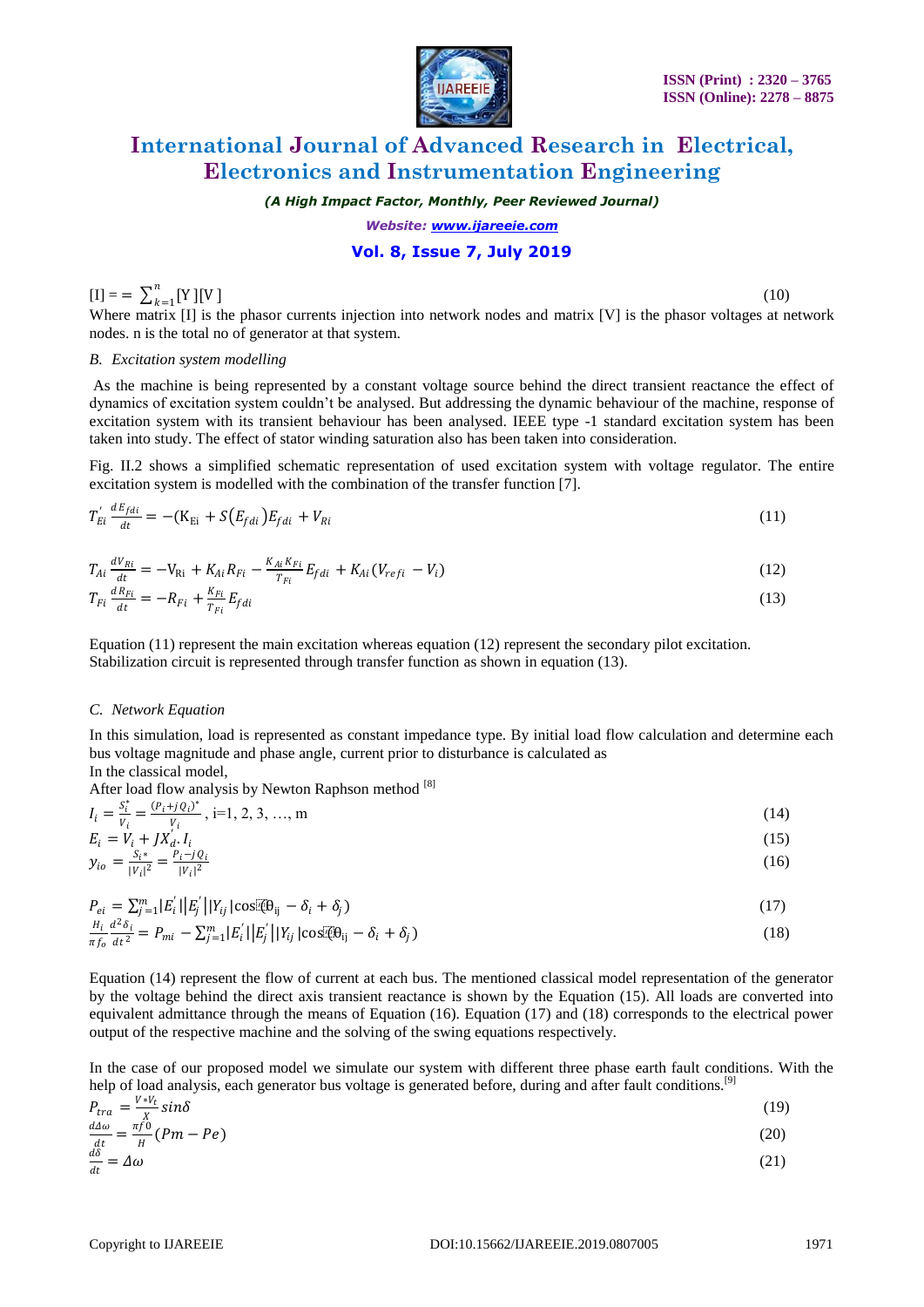

*(A High Impact Factor, Monthly, Peer Reviewed Journal)*

*Website: [www.ijareeie.com](http://www.ijareeie.com/)*

### **Vol. 8, Issue 7, July 2019**

#### $[I] = \sum_{k=1}^{n} [Y][V]$  $k=1$

(10)

Where matrix [I] is the phasor currents injection into network nodes and matrix [V] is the phasor voltages at network nodes. n is the total no of generator at that system.

#### *B. Excitation system modelling*

As the machine is being represented by a constant voltage source behind the direct transient reactance the effect of dynamics of excitation system couldn't be analysed. But addressing the dynamic behaviour of the machine, response of excitation system with its transient behaviour has been analysed. IEEE type -1 standard excitation system has been taken into study. The effect of stator winding saturation also has been taken into consideration.

Fig. II.2 shows a simplified schematic representation of used excitation system with voltage regulator. The entire excitation system is modelled with the combination of the transfer function [7].

$$
T'_{E i} \frac{dE_{f d i}}{dt} = -(K_{E i} + S(E_{f d i}) E_{f d i} + V_{R i} \tag{11}
$$

$$
T_{Ai} \frac{dV_{Ri}}{dt} = -V_{Ri} + K_{Ai}R_{Fi} - \frac{K_{Ai}K_{Fi}}{T_{Fi}}E_{fdi} + K_{Ai}(V_{refi} - V_i)
$$
\n(12)

$$
T_{Fi}\frac{dR_{Fi}}{dt} = -R_{Fi} + \frac{K_{Fi}}{T_{Fi}}E_{fdi}
$$
\n
$$
\tag{13}
$$

Equation (11) represent the main excitation whereas equation (12) represent the secondary pilot excitation. Stabilization circuit is represented through transfer function as shown in equation (13).

#### *C. Network Equation*

In this simulation, load is represented as constant impedance type. By initial load flow calculation and determine each bus voltage magnitude and phase angle, current prior to disturbance is calculated as In the classical model,

After load flow analysis by Newton Raphson method [8]

 $I_i = \frac{S_i^*}{V_i}$  $\frac{S_i^*}{V_i} = \frac{(P_i + j Q_i)^*}{V_i}$  $\frac{\partial v_i}{\partial t}$ , i=1, 2, 3, ..., m (14)  $E_i = V_i + JX'_d \cdot I_i$  $(15)$ 

$$
y_{io} = \frac{S_i^*}{|V_i|^2} = \frac{P_i - j \dot{Q}_i}{|V_i|^2}
$$
(16)

 $P_{ei} = \sum_{j=1}^{m} |E'_i| |E'_j| |Y_{ij}| \cos[\theta_{ij} - \delta_i + \delta_j]$ (17)

$$
\frac{H_i}{\pi f_0} \frac{d^2 \delta_i}{dt^2} = P_{mi} - \sum_{j=1}^m |E'_i| |E'_j| |Y_{ij}| \cos[\Phi_{ij} - \delta_i + \delta_j]
$$
\n(18)

Equation (14) represent the flow of current at each bus. The mentioned classical model representation of the generator by the voltage behind the direct axis transient reactance is shown by the Equation (15). All loads are converted into equivalent admittance through the means of Equation (16). Equation (17) and (18) corresponds to the electrical power output of the respective machine and the solving of the swing equations respectively.

In the case of our proposed model we simulate our system with different three phase earth fault conditions. With the help of load analysis, each generator bus voltage is generated before, during and after fault conditions.<sup>[9]</sup>

| $P_{tra} = \frac{V*V_t}{r} sin\delta$                  | (19)  |
|--------------------------------------------------------|-------|
| $\frac{d\Delta\omega}{dt} = \frac{\pi f}{H} (Pm - Pe)$ | (20)  |
| $\mathbf{A}$ .                                         | (0.1) |

$$
\frac{a_0}{dt} = \Delta \omega \tag{21}
$$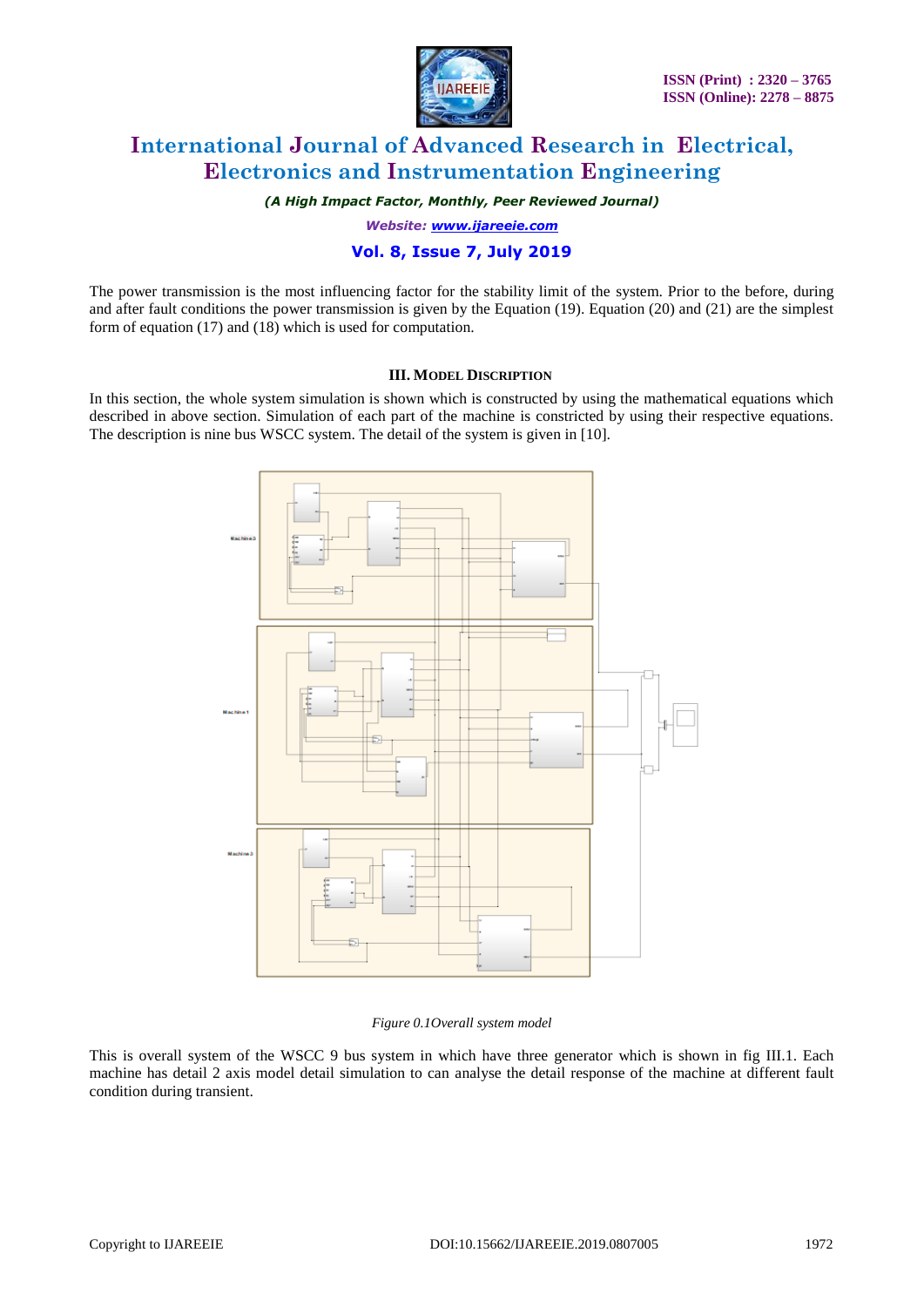

*(A High Impact Factor, Monthly, Peer Reviewed Journal)*

*Website: [www.ijareeie.com](http://www.ijareeie.com/)*

### **Vol. 8, Issue 7, July 2019**

The power transmission is the most influencing factor for the stability limit of the system. Prior to the before, during and after fault conditions the power transmission is given by the Equation (19). Equation (20) and (21) are the simplest form of equation (17) and (18) which is used for computation.

#### **III. MODEL DISCRIPTION**

In this section, the whole system simulation is shown which is constructed by using the mathematical equations which described in above section. Simulation of each part of the machine is constricted by using their respective equations. The description is nine bus WSCC system. The detail of the system is given in [10].



#### *Figure 0.1Overall system model*

This is overall system of the WSCC 9 bus system in which have three generator which is shown in fig III.1. Each machine has detail 2 axis model detail simulation to can analyse the detail response of the machine at different fault condition during transient.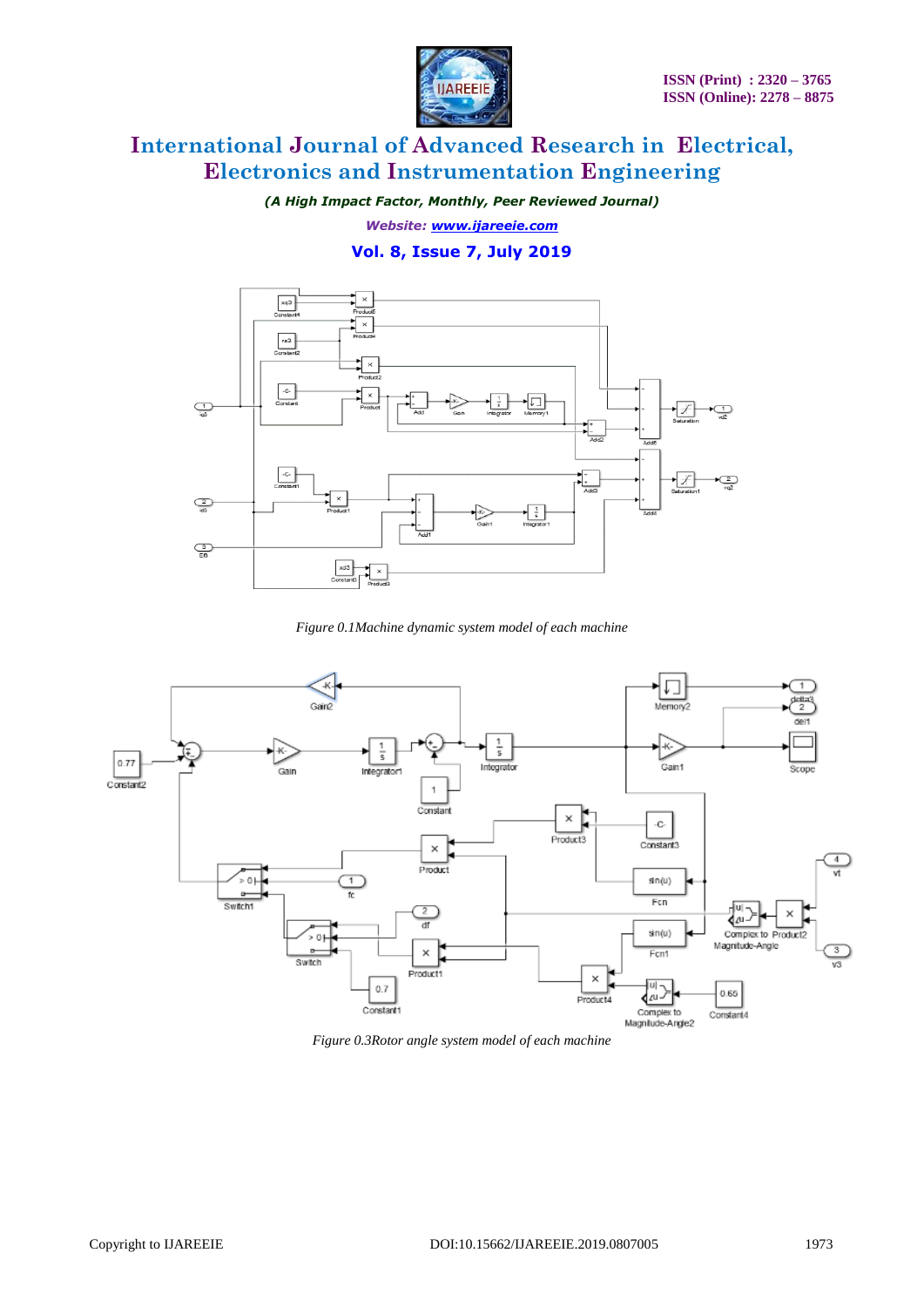

*(A High Impact Factor, Monthly, Peer Reviewed Journal)*

*Website: [www.ijareeie.com](http://www.ijareeie.com/)*

**Vol. 8, Issue 7, July 2019**



*Figure 0.1Machine dynamic system model of each machine*



*Figure 0.3Rotor angle system model of each machine*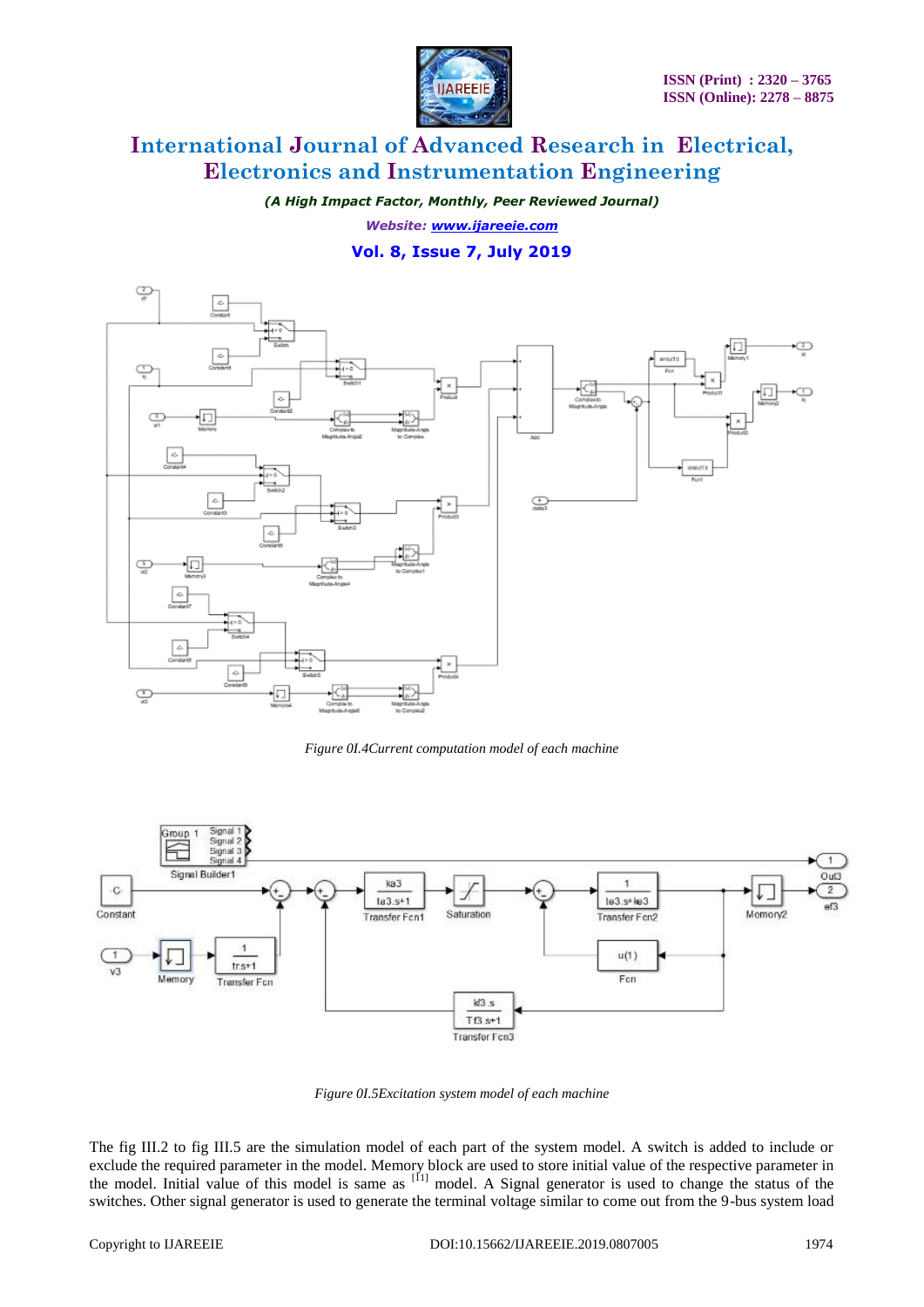

*(A High Impact Factor, Monthly, Peer Reviewed Journal) Website: [www.ijareeie.com](http://www.ijareeie.com/)*

### **Vol. 8, Issue 7, July 2019**



*Figure 0I.4Current computation model of each machine*



*Figure 0I.5Excitation system model of each machine*

The fig III.2 to fig III.5 are the simulation model of each part of the system model. A switch is added to include or exclude the required parameter in the model. Memory block are used to store initial value of the respective parameter in the model. Initial value of this model is same as <sup>[11]</sup> model. A Signal generator is used to change the status of the switches. Other signal generator is used to generate the terminal voltage similar to come out from the 9-bus system load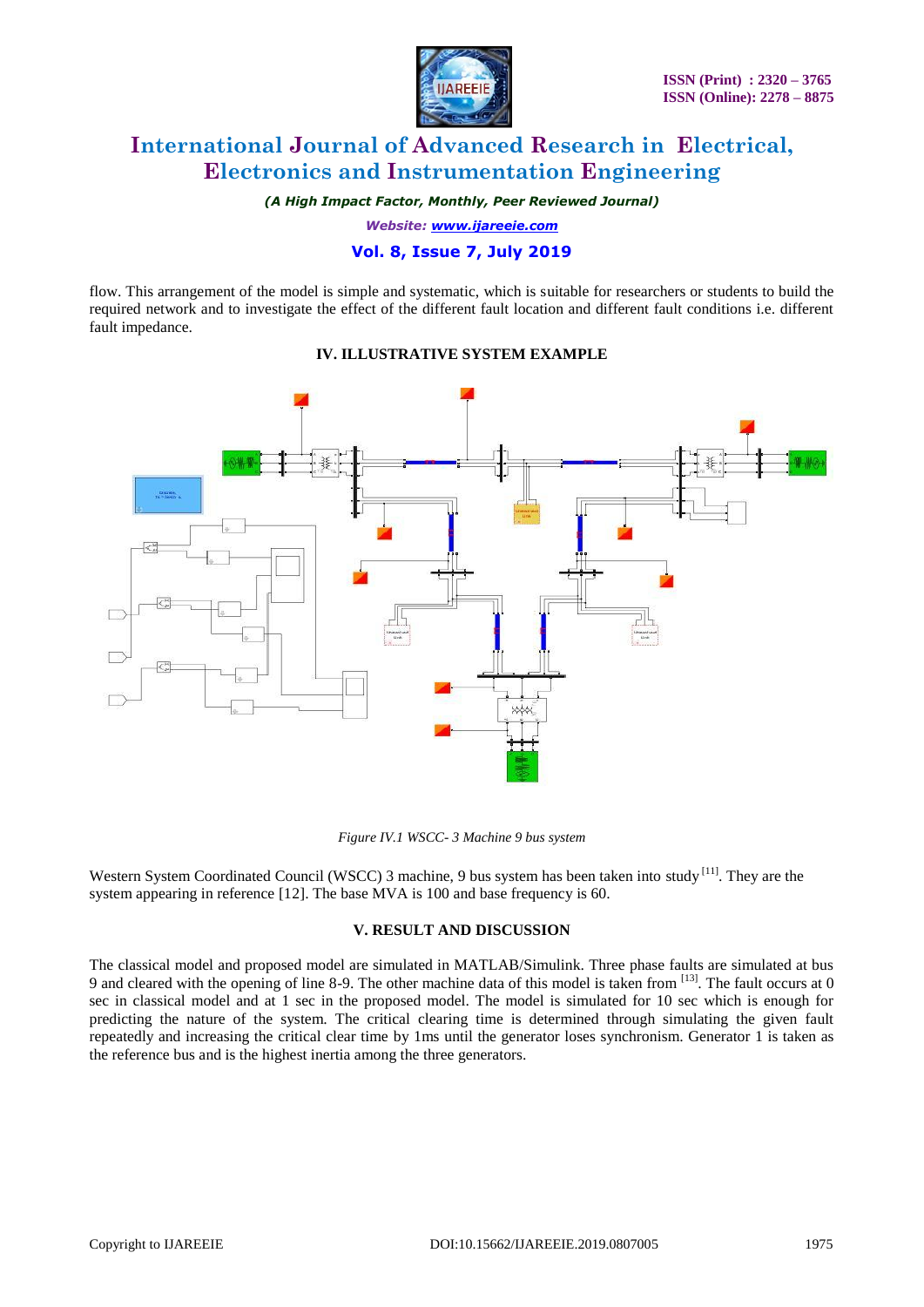

*(A High Impact Factor, Monthly, Peer Reviewed Journal)*

*Website: [www.ijareeie.com](http://www.ijareeie.com/)*

### **Vol. 8, Issue 7, July 2019**

flow. This arrangement of the model is simple and systematic, which is suitable for researchers or students to build the required network and to investigate the effect of the different fault location and different fault conditions i.e. different fault impedance.

### **IV. ILLUSTRATIVE SYSTEM EXAMPLE**



*Figure IV.1 WSCC- 3 Machine 9 bus system* 

Western System Coordinated Council (WSCC) 3 machine, 9 bus system has been taken into study <sup>[11]</sup>. They are the system appearing in reference [12]. The base MVA is 100 and base frequency is 60.

### **V. RESULT AND DISCUSSION**

The classical model and proposed model are simulated in MATLAB/Simulink. Three phase faults are simulated at bus 9 and cleared with the opening of line 8-9. The other machine data of this model is taken from [13]. The fault occurs at 0 sec in classical model and at 1 sec in the proposed model. The model is simulated for 10 sec which is enough for predicting the nature of the system. The critical clearing time is determined through simulating the given fault repeatedly and increasing the critical clear time by 1ms until the generator loses synchronism. Generator 1 is taken as the reference bus and is the highest inertia among the three generators.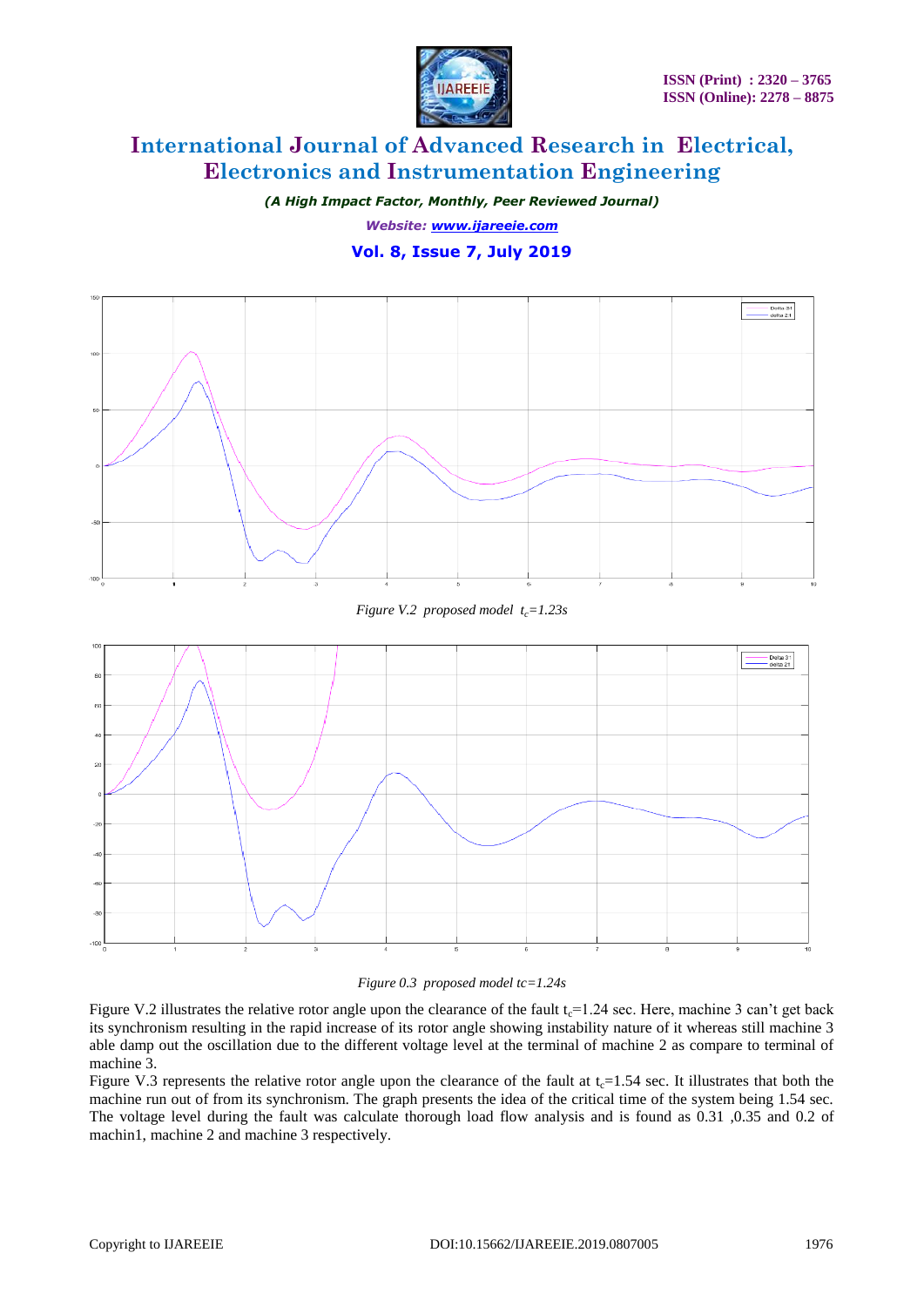

*(A High Impact Factor, Monthly, Peer Reviewed Journal) Website: [www.ijareeie.com](http://www.ijareeie.com/)* **Vol. 8, Issue 7, July 2019**



*Figure V.2 proposed model tc=1.23s*



### *Figure 0.3 proposed model tc=1.24s*

Figure V.2 illustrates the relative rotor angle upon the clearance of the fault  $t_c$ =1.24 sec. Here, machine 3 can't get back its synchronism resulting in the rapid increase of its rotor angle showing instability nature of it whereas still machine 3 able damp out the oscillation due to the different voltage level at the terminal of machine 2 as compare to terminal of machine 3.

Figure V.3 represents the relative rotor angle upon the clearance of the fault at  $t_c=1.54$  sec. It illustrates that both the machine run out of from its synchronism. The graph presents the idea of the critical time of the system being 1.54 sec. The voltage level during the fault was calculate thorough load flow analysis and is found as 0.31 ,0.35 and 0.2 of machin1, machine 2 and machine 3 respectively.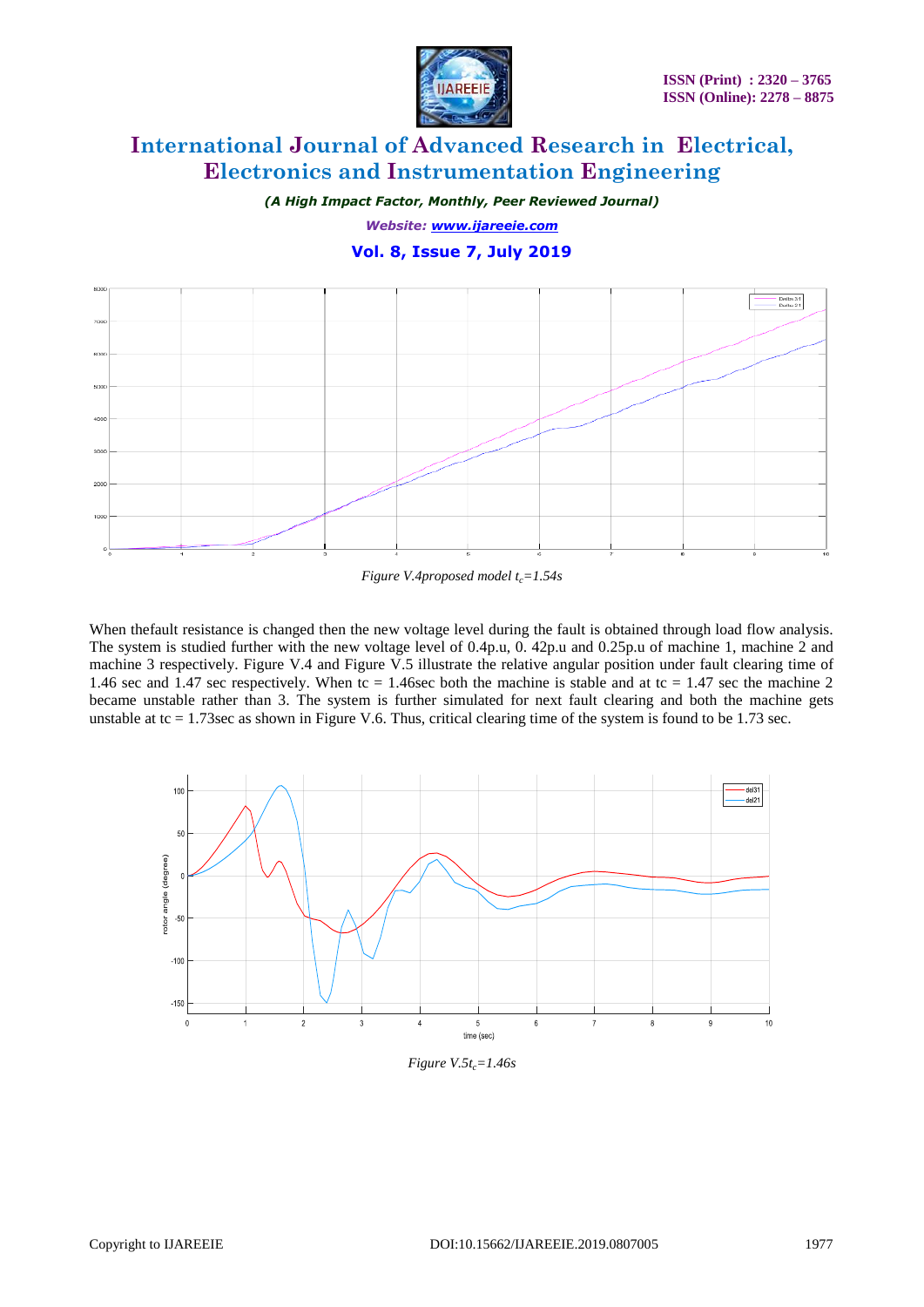

*(A High Impact Factor, Monthly, Peer Reviewed Journal)*

*Website: [www.ijareeie.com](http://www.ijareeie.com/)*

**Vol. 8, Issue 7, July 2019**



*Figure V.4proposed model tc=1.54s*

When thefault resistance is changed then the new voltage level during the fault is obtained through load flow analysis. The system is studied further with the new voltage level of 0.4p.u, 0. 42p.u and 0.25p.u of machine 1, machine 2 and machine 3 respectively. Figure V.4 and Figure V.5 illustrate the relative angular position under fault clearing time of 1.46 sec and 1.47 sec respectively. When tc = 1.46sec both the machine is stable and at tc = 1.47 sec the machine 2 became unstable rather than 3. The system is further simulated for next fault clearing and both the machine gets unstable at tc  $= 1.73$  sec as shown in Figure V.6. Thus, critical clearing time of the system is found to be 1.73 sec.



*Figure V.5tc=1.46s*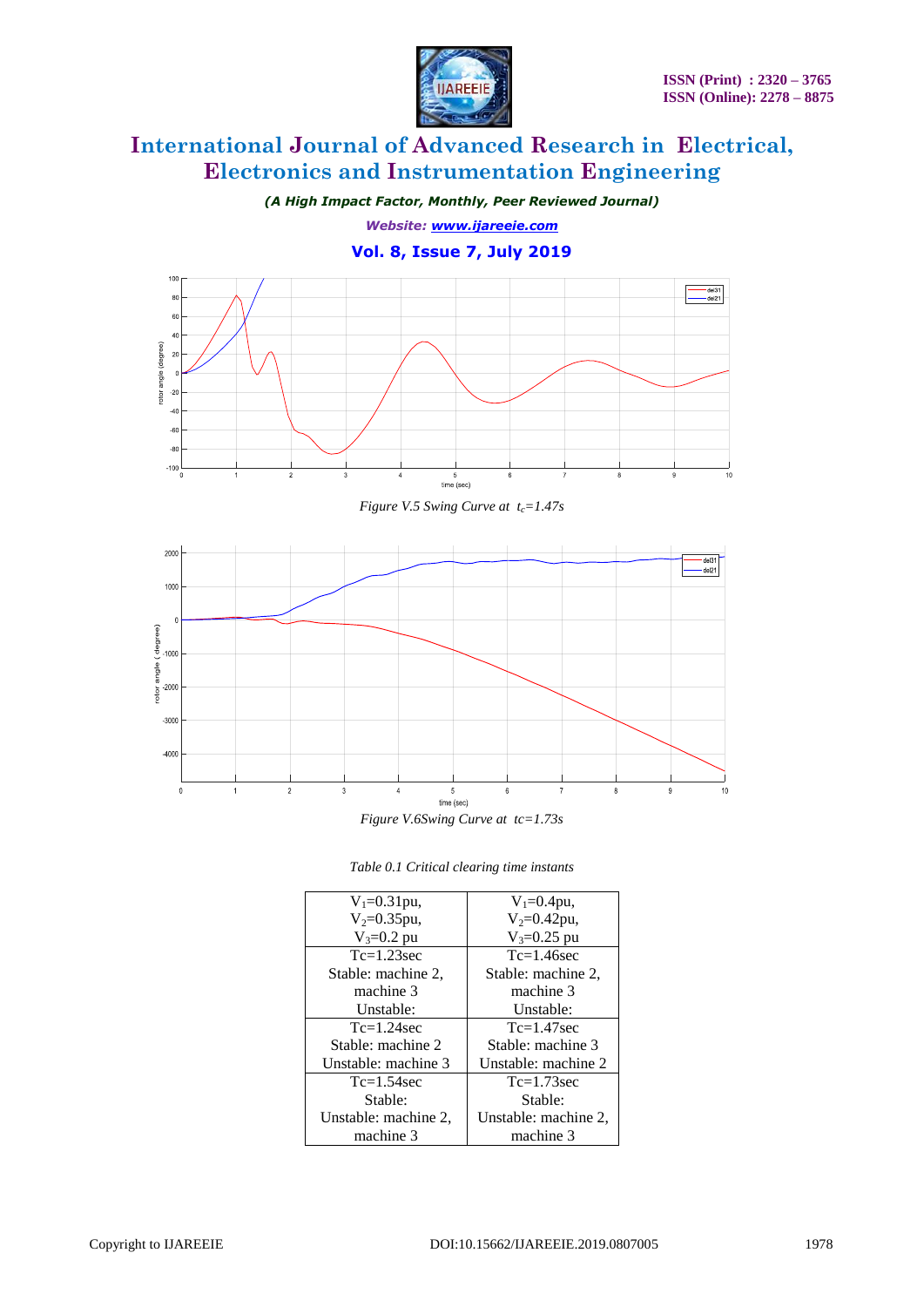

*(A High Impact Factor, Monthly, Peer Reviewed Journal)*

*Website: [www.ijareeie.com](http://www.ijareeie.com/)*

**Vol. 8, Issue 7, July 2019**



*Figure V.5 Swing Curve at tc=1.47s*



| $V_1 = 0.31$ pu,     | $V_1 = 0.4$ pu,      |
|----------------------|----------------------|
| $V_2 = 0.35$ pu,     | $V_2 = 0.42$ pu,     |
| $V_3 = 0.2$ pu       | $V_3 = 0.25$ pu      |
| $Tc=1.23$ sec        | $Tc=1.46$ sec        |
| Stable: machine 2.   | Stable: machine 2,   |
| machine 3            | machine 3            |
| Unstable:            | Unstable:            |
| $Tc=1.24$ sec        | $Tc=1.47$ sec        |
| Stable: machine 2    | Stable: machine 3    |
| Unstable: machine 3  | Unstable: machine 2  |
| $Tc=1.54$ sec        | $Tc=1.73$ sec        |
| Stable:              | Stable:              |
| Unstable: machine 2, | Unstable: machine 2, |
| machine 3            | machine 3            |

| Table 0.1 Critical clearing time instants |  |  |
|-------------------------------------------|--|--|
|-------------------------------------------|--|--|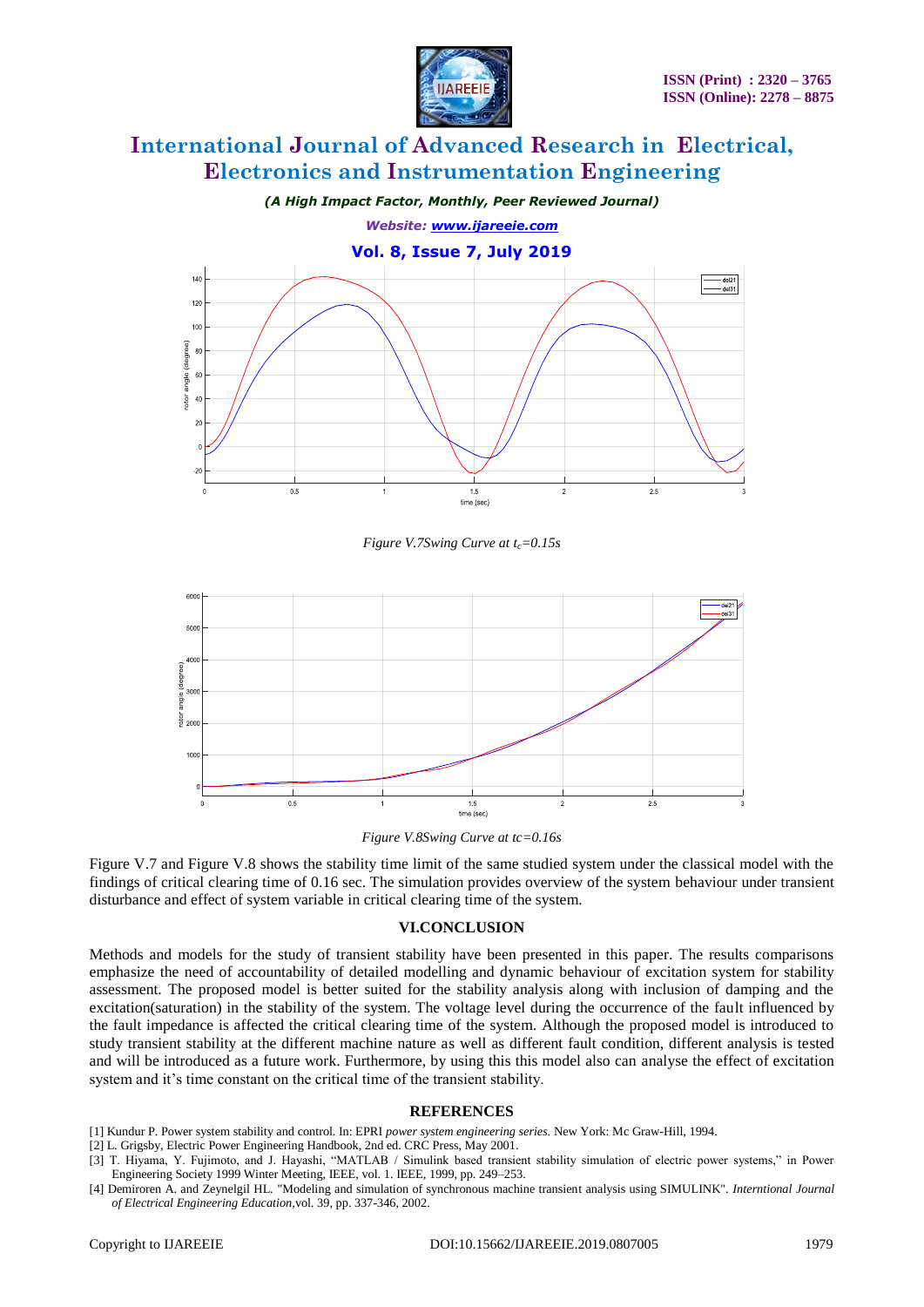

*(A High Impact Factor, Monthly, Peer Reviewed Journal) Website: [www.ijareeie.com](http://www.ijareeie.com/)* **Vol. 8, Issue 7, July 2019**  $120$  $10<sub>l</sub>$  $\mathcal{R}^{\prime}$ igle time (sec)

*Figure V.7Swing Curve at tc=0.15s*



*Figure V.8Swing Curve at tc=0.16s*

Figure V.7 and Figure V.8 shows the stability time limit of the same studied system under the classical model with the findings of critical clearing time of 0.16 sec. The simulation provides overview of the system behaviour under transient disturbance and effect of system variable in critical clearing time of the system.

### **VI.CONCLUSION**

Methods and models for the study of transient stability have been presented in this paper. The results comparisons emphasize the need of accountability of detailed modelling and dynamic behaviour of excitation system for stability assessment. The proposed model is better suited for the stability analysis along with inclusion of damping and the excitation(saturation) in the stability of the system. The voltage level during the occurrence of the fault influenced by the fault impedance is affected the critical clearing time of the system. Although the proposed model is introduced to study transient stability at the different machine nature as well as different fault condition, different analysis is tested and will be introduced as a future work. Furthermore, by using this this model also can analyse the effect of excitation system and it's time constant on the critical time of the transient stability.

#### **REFERENCES**

- [1] Kundur P. Power system stability and control. In: EPRI *power system engineering series.* New York: Mc Graw-Hill, 1994.
- [2] L. Grigsby, Electric Power Engineering Handbook, 2nd ed. CRC Press, May 2001.

<sup>[3]</sup> T. Hiyama, Y. Fujimoto, and J. Hayashi, "MATLAB / Simulink based transient stability simulation of electric power systems," in Power Engineering Society 1999 Winter Meeting, IEEE, vol. 1. IEEE, 1999, pp. 249–253.

<sup>[4]</sup> Demiroren A. and Zeynelgil HL. "Modeling and simulation of synchronous machine transient analysis using SIMULINK". *Interntional Journal of Electrical Engineering Education,*vol. 39, pp. 337-346, 2002.